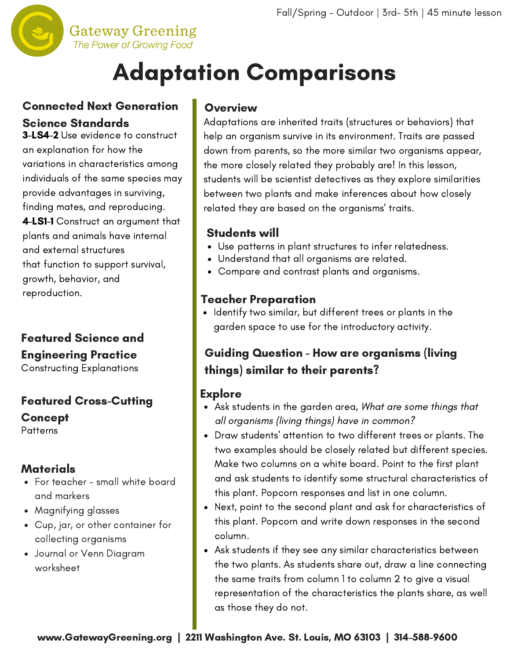

# Adaptation Comparisons

## Connected Next Generation Science Standards

3-LS4-2 Use evidence to construct an explanation for how the variations in characteristics among individuals of the same species may provide advantages in surviving, finding mates, and reproducing. 4-LS1-1 Construct an argument that plants and animals have internal and external structures that function to support survival, growth, behavior, and reproduction.

# Featured Science and Engineering Practice

Constructing Explanations

## Featured Cross-Cutting Concept

**Patterns** 

#### Materials

- For teacher small white board and markers
- Magnifying glasses
- Cup, jar, or other container for collecting organisms
- Journal or Venn Diagram worksheet

#### **Overview**

Adaptations are inherited traits (structures or behaviors) that help an organism survive in its environment. Traits are passed down from parents, so the more similar two organisms appear, the more closely related they probably are! In this lesson, students will be scientist detectives as they explore similarities between two plants and make inferences about how closely related they are based on the organisms' traits.

#### Students will

- Use patterns in plant structures to infer relatedness.
- Understand that all organisms are related.
- Compare and contrast plants and organisms.

## Teacher Preparation

• Identify two similar, but different trees or plants in the garden space to use for the introductory activity.

# Guiding Question - How are organisms (living things) similar to their parents?

# **Explore**

- Ask students in the garden area, What are some things that all organisms (living things) have in common?
- Draw students' attention to two different trees or plants. The two examples should be closely related but different species. Make two columns on a white board. Point to the first plant and ask students to identify some structural characteristics of this plant. Popcorn responses and list in one column.
- Next, point to the second plant and ask for characteristics of this plant. Popcorn and write down responses in the second column.
- Ask students if they see any similar characteristics between the two plants. As students share out, draw a line connecting the same traits from column 1 to column 2 to give a visual representation of the characteristics the plants share, as well as those they do not.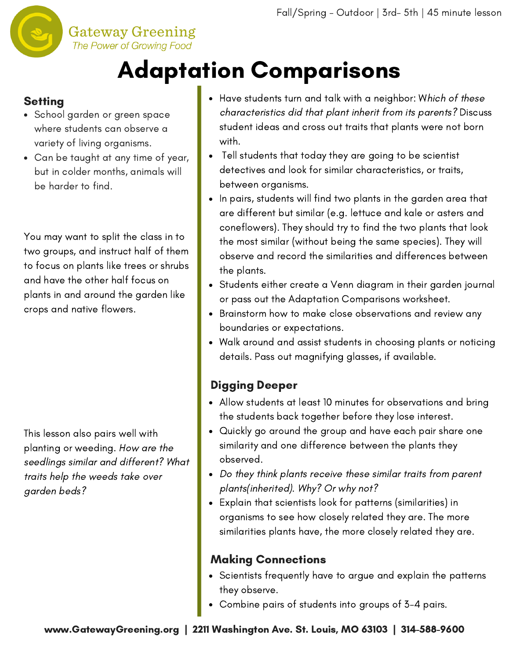

# Adaptation Comparisons

### **Setting**

- School garden or green space where students can observe a variety of living organisms.
- Can be taught at any time of year, but in colder months, animals will be harder to find.

You may want to split the class in to two groups, and instruct half of them to focus on plants like trees or shrubs and have the other half focus on plants in and around the garden like crops and native flowers.

This lesson also pairs well with planting or weeding. How are the seedlings similar and different? What traits help the weeds take over garden beds?

- Have students turn and talk with a neighbor: Which of these characteristics did that plant inherit from its parents? Discuss student ideas and cross out traits that plants were not born with.
- Tell students that today they are going to be scientist detectives and look for similar characteristics, or traits, between organisms.
- In pairs, students will find two plants in the garden area that are different but similar (e.g. lettuce and kale or asters and coneflowers). They should try to find the two plants that look the most similar (without being the same species). They will observe and record the similarities and differences between the plants.
- Students either create a Venn diagram in their garden journal or pass out the Adaptation Comparisons worksheet.
- Brainstorm how to make close observations and review any boundaries or expectations.
- Walk around and assist students in choosing plants or noticing details. Pass out magnifying glasses, if available.

# Digging Deeper

- Allow students at least 10 minutes for observations and bring the students back together before they lose interest.
- Quickly go around the group and have each pair share one similarity and one difference between the plants they observed.
- Do they think plants receive these similar traits from parent plants(inherited). Why? Or why not?
- Explain that scientists look for patterns (similarities) in organisms to see how closely related they are. The more similarities plants have, the more closely related they are.

### Making Connections

- Scientists frequently have to argue and explain the patterns they observe.
- Combine pairs of students into groups of 3-4 pairs.